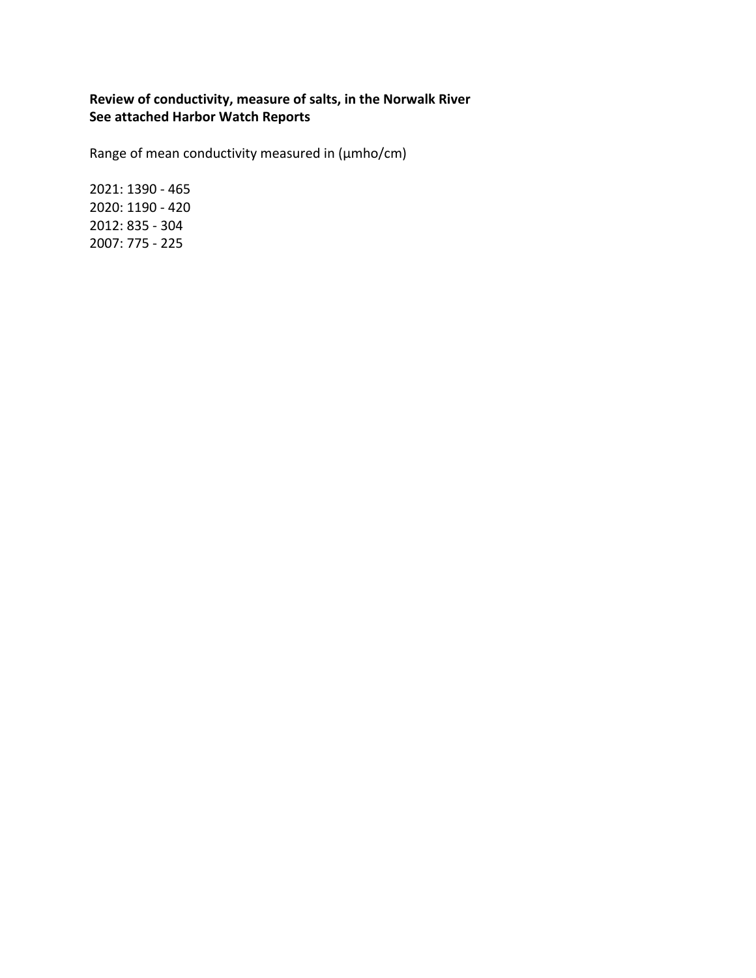## **Review of conductivity, measure of salts, in the Norwalk River See attached Harbor Watch Reports**

Range of mean conductivity measured in (μmho/cm)

2021: 1390 - 465 2020: 1190 - 420 2012: 835 - 304 2007: 775 - 225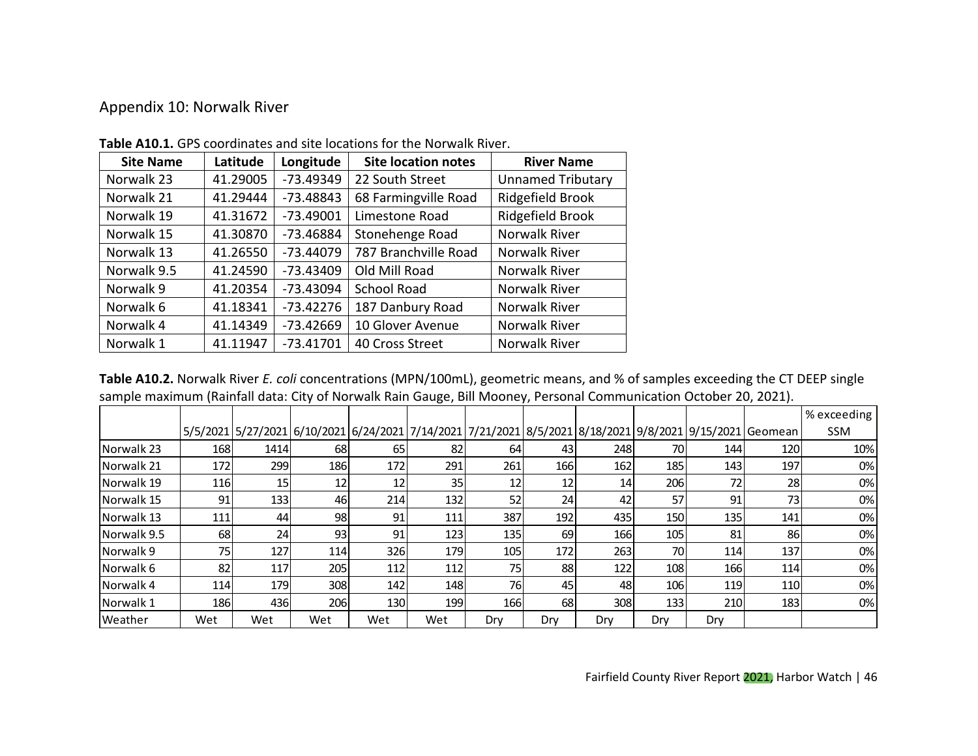## Appendix 10: Norwalk River

| <b>Site Name</b> | Latitude | Longitude   | <b>Site location notes</b> | <b>River Name</b>        |
|------------------|----------|-------------|----------------------------|--------------------------|
| Norwalk 23       | 41.29005 | -73.49349   | 22 South Street            | <b>Unnamed Tributary</b> |
| Norwalk 21       | 41.29444 | $-73.48843$ | 68 Farmingville Road       | Ridgefield Brook         |
| Norwalk 19       | 41.31672 | $-73.49001$ | Limestone Road             | Ridgefield Brook         |
| Norwalk 15       | 41.30870 | $-73.46884$ | Stonehenge Road            | <b>Norwalk River</b>     |
| Norwalk 13       | 41.26550 | $-73.44079$ | 787 Branchville Road       | Norwalk River            |
| Norwalk 9.5      | 41.24590 | $-73.43409$ | Old Mill Road              | Norwalk River            |
| Norwalk 9        | 41.20354 | $-73.43094$ | <b>School Road</b>         | <b>Norwalk River</b>     |
| Norwalk 6        | 41.18341 | $-73.42276$ | 187 Danbury Road           | Norwalk River            |
| Norwalk 4        | 41.14349 | $-73.42669$ | 10 Glover Avenue           | <b>Norwalk River</b>     |
| Norwalk 1        | 41.11947 | $-73.41701$ | 40 Cross Street            | <b>Norwalk River</b>     |

**Table A10.1.** GPS coordinates and site locations for the Norwalk River.

**Table A10.2.** Norwalk River *E. coli* concentrations (MPN/100mL), geometric means, and % of samples exceeding the CT DEEP single sample maximum (Rainfall data: City of Norwalk Rain Gauge, Bill Mooney, Personal Communication October 20, 2021).

|                    |            |                 |            |     |     |            |     |     |     |                                                                                                          |     | % exceeding |
|--------------------|------------|-----------------|------------|-----|-----|------------|-----|-----|-----|----------------------------------------------------------------------------------------------------------|-----|-------------|
|                    |            |                 |            |     |     |            |     |     |     | 5/5/2021 5/27/2021 6/10/2021 6/24/2021 7/14/2021 7/21/2021 8/5/2021 8/18/2021 9/8/2021 9/15/2021 Geomean |     | SSM         |
| <b>INorwalk 23</b> | 1681       | 1414            | 68         | 65  | 82  | 64I        | 431 | 248 | 70I | 144                                                                                                      | 120 | 10%         |
| Norwalk 21         | <b>172</b> | 299             | <b>186</b> | 172 | 291 | 261        | 166 | 162 | 185 | 143                                                                                                      | 197 | 0%          |
| Norwalk 19         | 116        | 15 <sub>l</sub> | 12         | 12  | 35  | 12         | 12  | 14  | 206 | 72                                                                                                       | 28  | 0%          |
| Norwalk 15         | 91         | 133             | 46         | 214 | 132 | 52         | 24  | 42  | 57  | 91                                                                                                       | 73  | $0\%$       |
| <b>INorwalk 13</b> | 111        | 44              | 98         | 91  | 111 | 387l       | 192 | 435 | 150 | 135                                                                                                      | 141 | 0%          |
| <b>Norwalk 9.5</b> | 68         | 24              | 93         | 91  | 123 | <b>135</b> | 69  | 166 | 105 | 81                                                                                                       | 86  | 0%          |
| <b>Norwalk 9</b>   | 75         | 127             | 114        | 326 | 179 | 105        | 172 | 263 | 70  | 114                                                                                                      | 137 | 0%          |
| <b>Norwalk 6</b>   | 82         | 117             | 205        | 112 | 112 | 75I        | 88  | 122 | 108 | 166                                                                                                      | 114 | 0%          |
| INorwalk 4         | 114        | 179             | 308l       | 142 | 148 | 761        | 45  | 48  | 106 | 119                                                                                                      | 110 | 0%          |
| <b>Norwalk 1</b>   | 186        | 436             | 206        | 130 | 199 | <b>166</b> | 68I | 308 | 133 | 210                                                                                                      | 183 | 0%          |
| lWeather           | Wet        | Wet             | Wet        | Wet | Wet | Drv        | Dry | Drv | Drv | Dry                                                                                                      |     |             |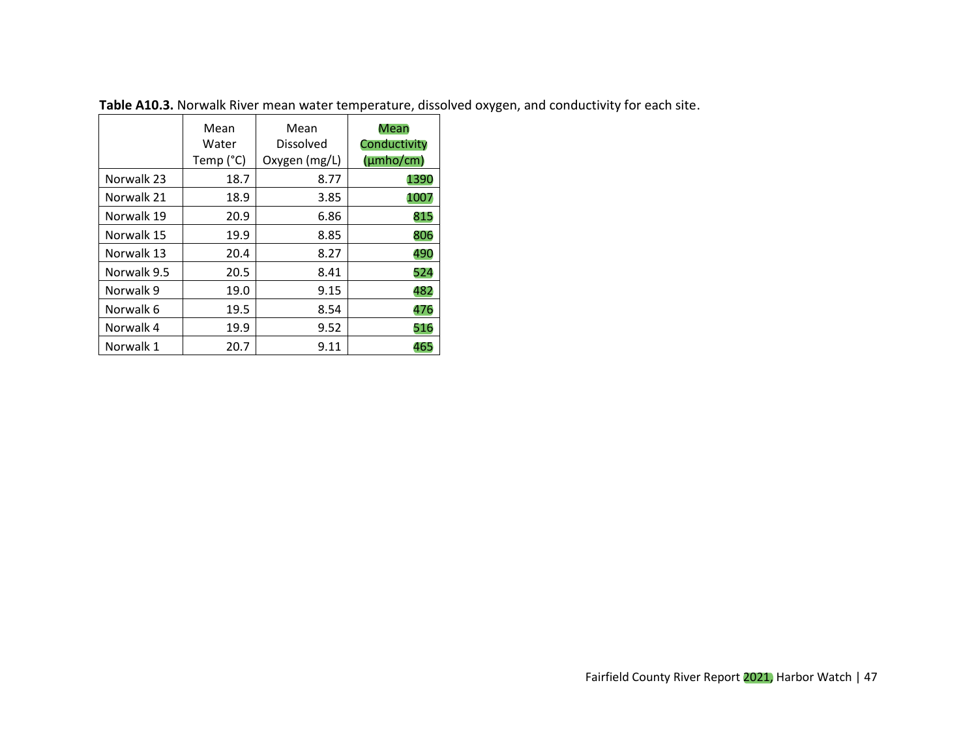|             | Mean<br>Water<br>Temp (°C) | Mean<br>Dissolved<br>Oxygen (mg/L) | Mean<br>Conductivity<br>(µmho/cm) |
|-------------|----------------------------|------------------------------------|-----------------------------------|
| Norwalk 23  | 18.7                       | 8.77                               | 1390                              |
| Norwalk 21  | 18.9                       | 3.85                               | 1007                              |
| Norwalk 19  | 20.9                       | 6.86                               | 815                               |
| Norwalk 15  | 19.9                       | 8.85                               | 806                               |
| Norwalk 13  | 20.4                       | 8.27                               | 490                               |
| Norwalk 9.5 | 20.5                       | 8.41                               | 524                               |
| Norwalk 9   | 19.0                       | 9.15                               | 482                               |
| Norwalk 6   | 19.5                       | 8.54                               | 476                               |
| Norwalk 4   | 19.9                       | 9.52                               | 516                               |
| Norwalk 1   | 20.7                       | 9.11                               | 465                               |

**Table A10.3.** Norwalk River mean water temperature, dissolved oxygen, and conductivity for each site.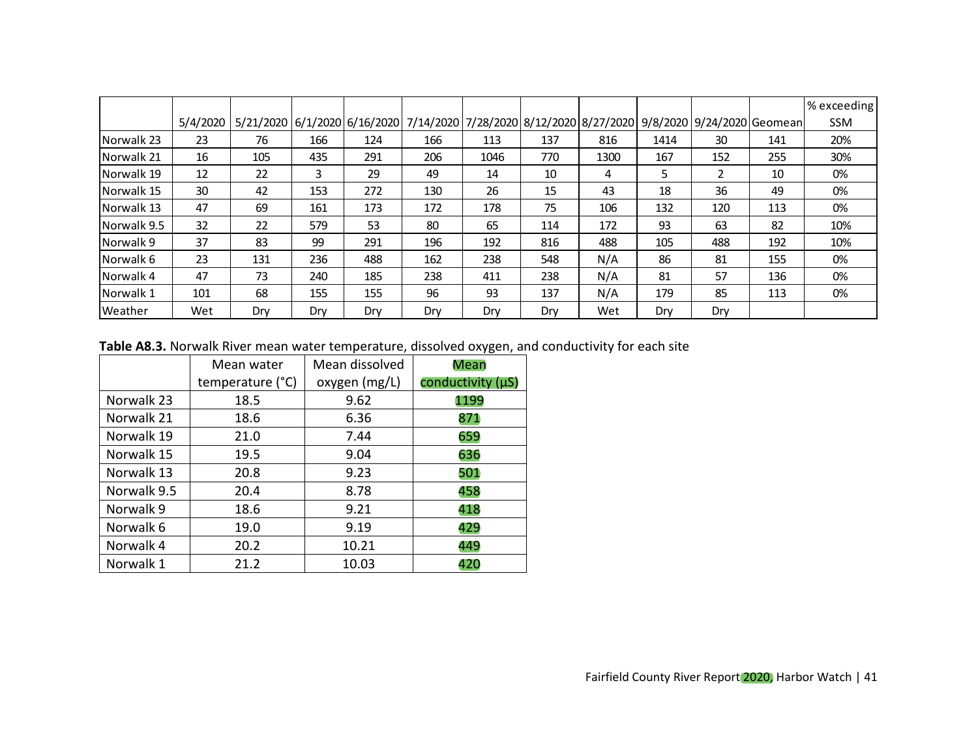|                  |          |     |     |     |                                                                                                 |      |     |      |      |     |     | % exceeding |
|------------------|----------|-----|-----|-----|-------------------------------------------------------------------------------------------------|------|-----|------|------|-----|-----|-------------|
|                  | 5/4/2020 |     |     |     | 5/21/2020 6/1/2020 6/16/2020 7/14/2020 7/28/2020 8/12/2020 8/27/2020 9/8/2020 9/24/2020 6eomean |      |     |      |      |     |     | <b>SSM</b>  |
| Norwalk 23       | 23       | 76  | 166 | 124 | 166                                                                                             | 113  | 137 | 816  | 1414 | 30  | 141 | 20%         |
| Norwalk 21       | 16       | 105 | 435 | 291 | 206                                                                                             | 1046 | 770 | 1300 | 167  | 152 | 255 | 30%         |
| Norwalk 19       | 12       | 22  | 3   | 29  | 49                                                                                              | 14   | 10  | 4    | 5    | 2   | 10  | 0%          |
| Norwalk 15       | 30       | 42  | 153 | 272 | 130                                                                                             | 26   | 15  | 43   | 18   | 36  | 49  | 0%          |
| Norwalk 13       | 47       | 69  | 161 | 173 | 172                                                                                             | 178  | 75  | 106  | 132  | 120 | 113 | 0%          |
| Norwalk 9.5      | 32       | 22  | 579 | 53  | 80                                                                                              | 65   | 114 | 172  | 93   | 63  | 82  | 10%         |
| Norwalk 9        | 37       | 83  | 99  | 291 | 196                                                                                             | 192  | 816 | 488  | 105  | 488 | 192 | 10%         |
| <b>Norwalk 6</b> | 23       | 131 | 236 | 488 | 162                                                                                             | 238  | 548 | N/A  | 86   | 81  | 155 | 0%          |
| <b>Norwalk 4</b> | 47       | 73  | 240 | 185 | 238                                                                                             | 411  | 238 | N/A  | 81   | 57  | 136 | 0%          |
| Norwalk 1        | 101      | 68  | 155 | 155 | 96                                                                                              | 93   | 137 | N/A  | 179  | 85  | 113 | 0%          |
| lWeather         | Wet      | Drv | Drv | Dry | Drv                                                                                             | Dry  | Dry | Wet  | Dry  | Dry |     |             |

**Table A8.3.** Norwalk River mean water temperature, dissolved oxygen, and conductivity for each site

|             | Mean water       | Mean dissolved | Mean              |
|-------------|------------------|----------------|-------------------|
|             | temperature (°C) | oxygen (mg/L)  | conductivity (µS) |
| Norwalk 23  | 18.5             | 9.62           | 1199              |
| Norwalk 21  | 18.6             | 6.36           | 871               |
| Norwalk 19  | 21.0             | 7.44           | 659               |
| Norwalk 15  | 19.5             | 9.04           | 636               |
| Norwalk 13  | 20.8             | 9.23           | 501               |
| Norwalk 9.5 | 20.4             | 8.78           | 458               |
| Norwalk 9   | 18.6             | 9.21           | 418               |
| Norwalk 6   | 19.0             | 9.19           | 429               |
| Norwalk 4   | 20.2             | 10.21          | 449               |
| Norwalk 1   | 21.2             | 10.03          | 420               |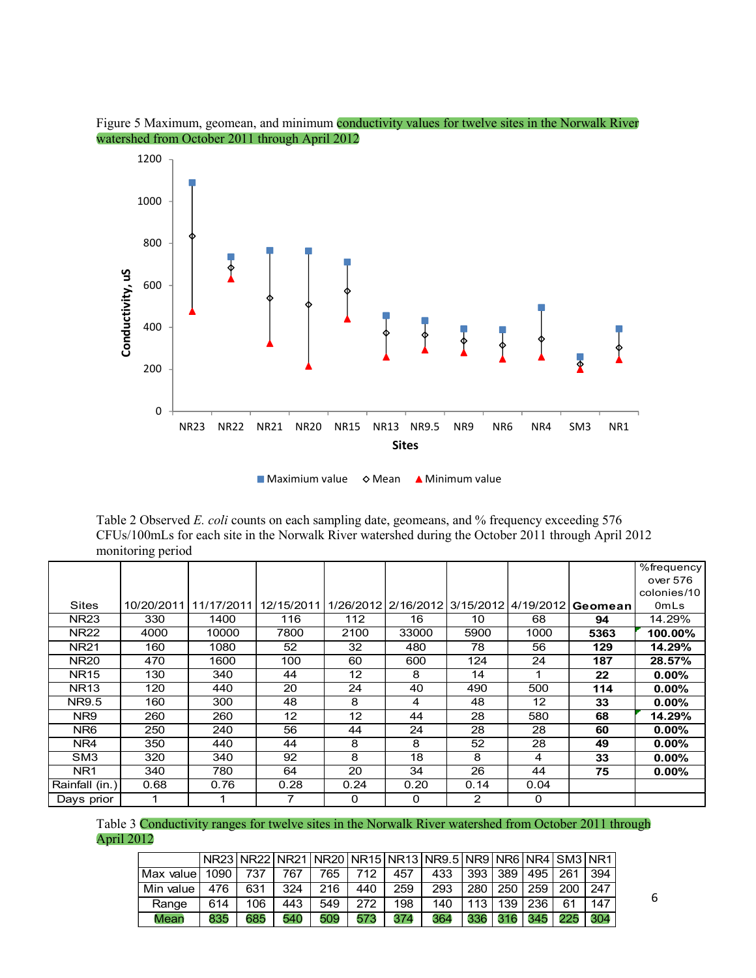

Figure 5 Maximum, geomean, and minimum conductivity values for twelve sites in the Norwalk River watershed from October 2011 through April 2012

 $\blacksquare$  Maximium value  $\lozenge$  Mean  $\blacktriangle$  Minimum value

Table 2 Observed *E. coli* counts on each sampling date, geomeans, and % frequency exceeding 576 CFUs/100mLs for each site in the Norwalk River watershed during the October 2011 through April 2012 monitoring period

|                 |      |                       |                   |          |                                         |      |      |          | %frequency  |
|-----------------|------|-----------------------|-------------------|----------|-----------------------------------------|------|------|----------|-------------|
|                 |      |                       |                   |          |                                         |      |      |          | over 576    |
|                 |      |                       |                   |          |                                         |      |      |          | colonies/10 |
| <b>Sites</b>    |      | 10/20/2011 11/17/2011 | 12/15/2011        |          | 1/26/2012 2/16/2012 3/15/2012 4/19/2012 |      |      | Geomeanl | OmLs        |
| <b>NR23</b>     | 330  | 1400                  | 116               | 112      | 16                                      | 10   | 68   | 94       | 14.29%      |
| <b>NR22</b>     | 4000 | 10000                 | 7800              | 2100     | 33000                                   | 5900 | 1000 | 5363     | 100.00%     |
| <b>NR21</b>     | 160  | 1080                  | 52                | 32       | 480                                     | 78   | 56   | 129      | 14.29%      |
| <b>NR20</b>     | 470  | 1600                  | 100               | 60       | 600                                     | 124  | 24   | 187      | 28.57%      |
| <b>NR15</b>     | 130  | 340                   | 44                | 12       | 8                                       | 14   | 1    | 22       | $0.00\%$    |
| <b>NR13</b>     | 120  | 440                   | 20                | 24       | 40                                      | 490  | 500  | 114      | $0.00\%$    |
| NR9.5           | 160  | 300                   | 48                | 8        | 4                                       | 48   | 12   | 33       | $0.00\%$    |
| NR9             | 260  | 260                   | $12 \overline{ }$ | 12       | 44                                      | 28   | 580  | 68       | 14.29%      |
| NR6             | 250  | 240                   | 56                | 44       | 24                                      | 28   | 28   | 60       | $0.00\%$    |
| NR4             | 350  | 440                   | 44                | 8        | 8                                       | 52   | 28   | 49       | $0.00\%$    |
| SM3             | 320  | 340                   | 92                | 8        | 18                                      | 8    | 4    | 33       | 0.00%       |
| NR <sub>1</sub> | 340  | 780                   | 64                | 20       | 34                                      | 26   | 44   | 75       | $0.00\%$    |
| Rainfall (in.)  | 0.68 | 0.76                  | 0.28              | 0.24     | 0.20                                    | 0.14 | 0.04 |          |             |
| Days prior      |      |                       | 7                 | $\Omega$ | $\Omega$                                | 2    | 0    |          |             |

Table 3 Conductivity ranges for twelve sites in the Norwalk River watershed from October 2011 through April 2012

|                   |        |     |     |     |     |     | NR23 NR22 NR21 NR20 NR15 NR13 NR9.5 NR9 NR6 NR4 SM3 NR1 |                  |     |                 |     |     |
|-------------------|--------|-----|-----|-----|-----|-----|---------------------------------------------------------|------------------|-----|-----------------|-----|-----|
| <b>Max valuel</b> | 1090 l | 737 | 767 | 765 | 712 | 457 | 433                                                     |                  |     | 393   389   495 | 261 | 394 |
| Min value         | 476    | 631 | 324 | 216 | 440 | 259 | 293                                                     | 280              | 250 | 259             | 200 | 247 |
| Range             | 614    | 106 | 443 | 549 | 272 | 198 | 140                                                     | 113 <sub>1</sub> | 139 | 236             |     | 147 |
| Mean              | 835    | 685 | 540 | 509 | 573 | 374 | 364                                                     | 336              |     | 345             | 225 | 304 |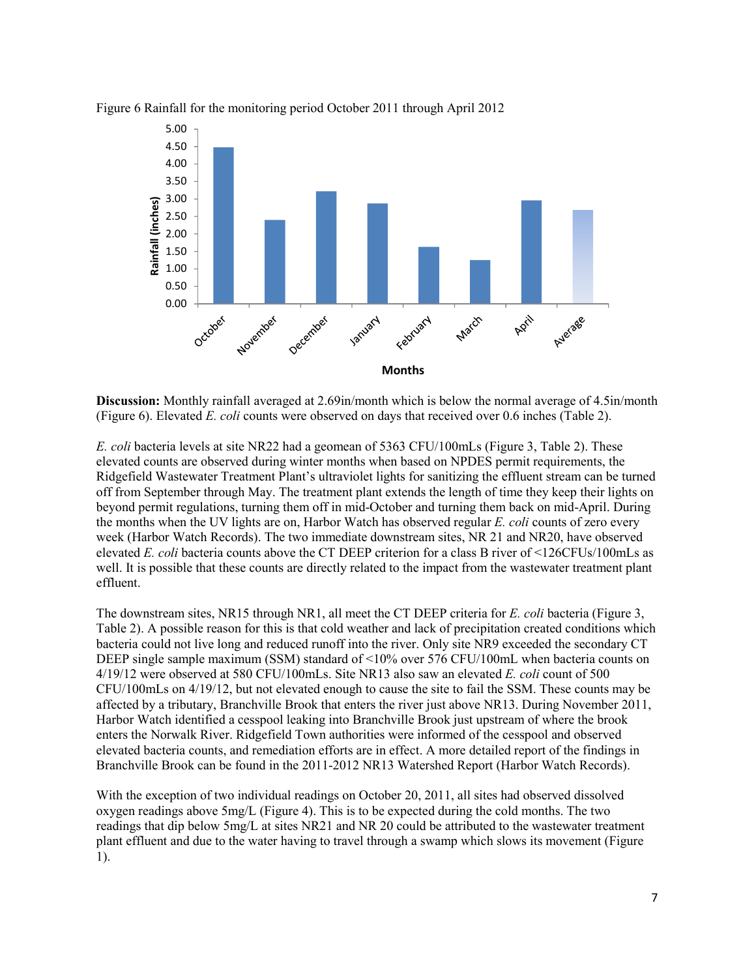

Figure 6 Rainfall for the monitoring period October 2011 through April 2012

**Discussion:** Monthly rainfall averaged at 2.69in/month which is below the normal average of 4.5in/month (Figure 6). Elevated *E. coli* counts were observed on days that received over 0.6 inches (Table 2).

*E. coli* bacteria levels at site NR22 had a geomean of 5363 CFU/100mLs (Figure 3, Table 2). These elevated counts are observed during winter months when based on NPDES permit requirements, the Ridgefield Wastewater Treatment Plant's ultraviolet lights for sanitizing the effluent stream can be turned off from September through May. The treatment plant extends the length of time they keep their lights on beyond permit regulations, turning them off in mid-October and turning them back on mid-April. During the months when the UV lights are on, Harbor Watch has observed regular *E. coli* counts of zero every week (Harbor Watch Records). The two immediate downstream sites, NR 21 and NR20, have observed elevated *E. coli* bacteria counts above the CT DEEP criterion for a class B river of <126CFUs/100mLs as well. It is possible that these counts are directly related to the impact from the wastewater treatment plant effluent.

The downstream sites, NR15 through NR1, all meet the CT DEEP criteria for *E. coli* bacteria (Figure 3, Table 2). A possible reason for this is that cold weather and lack of precipitation created conditions which bacteria could not live long and reduced runoff into the river. Only site NR9 exceeded the secondary CT DEEP single sample maximum (SSM) standard of <10% over 576 CFU/100mL when bacteria counts on 4/19/12 were observed at 580 CFU/100mLs. Site NR13 also saw an elevated *E. coli* count of 500 CFU/100mLs on 4/19/12, but not elevated enough to cause the site to fail the SSM. These counts may be affected by a tributary, Branchville Brook that enters the river just above NR13. During November 2011, Harbor Watch identified a cesspool leaking into Branchville Brook just upstream of where the brook enters the Norwalk River. Ridgefield Town authorities were informed of the cesspool and observed elevated bacteria counts, and remediation efforts are in effect. A more detailed report of the findings in Branchville Brook can be found in the 2011-2012 NR13 Watershed Report (Harbor Watch Records).

With the exception of two individual readings on October 20, 2011, all sites had observed dissolved oxygen readings above 5mg/L (Figure 4). This is to be expected during the cold months. The two readings that dip below 5mg/L at sites NR21 and NR 20 could be attributed to the wastewater treatment plant effluent and due to the water having to travel through a swamp which slows its movement (Figure 1).